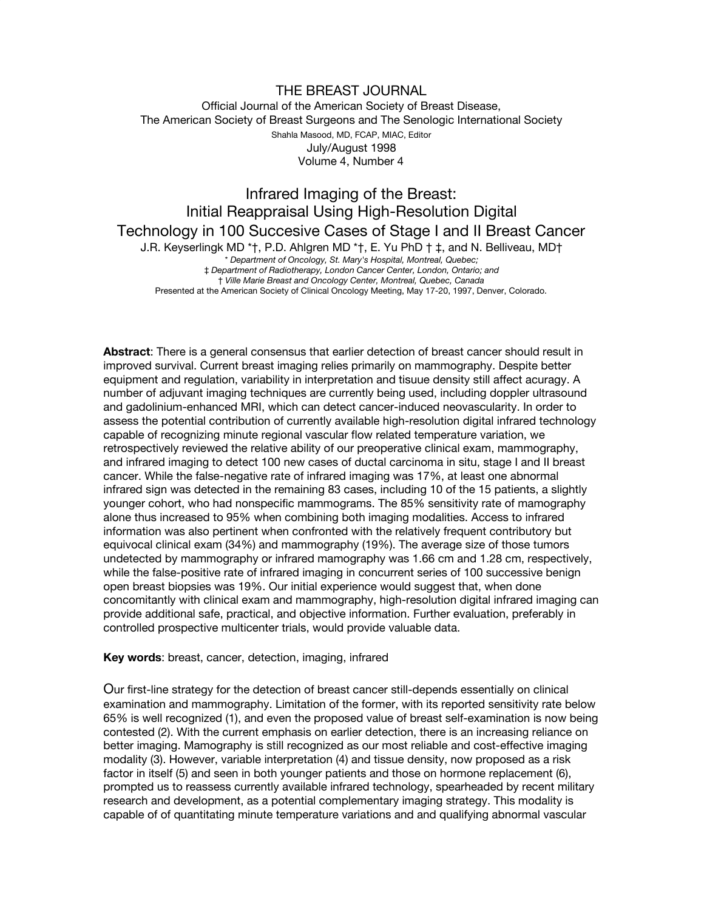# THE BREAST JOURNAL Official Journal of the American Society of Breast Disease, The American Society of Breast Surgeons and The Senologic International Society Shahla Masood, MD, FCAP, MIAC, Editor July/August 1998 Volume 4, Number 4

# Infrared Imaging of the Breast: Initial Reappraisal Using High-Resolution Digital Technology in 100 Succesive Cases of Stage I and II Breast Cancer J.R. Keyserlingk MD \*†, P.D. Ahlgren MD \*†, E. Yu PhD † ‡, and N. Belliveau, MD† \* *Department of Oncology, St. Mary's Hospital, Montreal, Quebec;* ‡ *Department of Radiotherapy, London Cancer Center, London, Ontario; and* † *Ville Marie Breast and Oncology Center, Montreal, Quebec, Canada* Presented at the American Society of Clinical Oncology Meeting, May 17-20, 1997, Denver, Colorado.

**Abstract**: There is a general consensus that earlier detection of breast cancer should result in improved survival. Current breast imaging relies primarily on mammography. Despite better equipment and regulation, variability in interpretation and tisuue density still affect acuragy. A number of adjuvant imaging techniques are currently being used, including doppler ultrasound and gadolinium-enhanced MRI, which can detect cancer-induced neovascularity. In order to assess the potential contribution of currently available high-resolution digital infrared technology capable of recognizing minute regional vascular flow related temperature variation, we retrospectively reviewed the relative ability of our preoperative clinical exam, mammography, and infrared imaging to detect 100 new cases of ductal carcinoma in situ, stage I and II breast cancer. While the false-negative rate of infrared imaging was 17%, at least one abnormal infrared sign was detected in the remaining 83 cases, including 10 of the 15 patients, a slightly younger cohort, who had nonspecific mammograms. The 85% sensitivity rate of mamography alone thus increased to 95% when combining both imaging modalities. Access to infrared information was also pertinent when confronted with the relatively frequent contributory but equivocal clinical exam (34%) and mammography (19%). The average size of those tumors undetected by mammography or infrared mamography was 1.66 cm and 1.28 cm, respectively, while the false-positive rate of infrared imaging in concurrent series of 100 successive benign open breast biopsies was 19%. Our initial experience would suggest that, when done concomitantly with clinical exam and mammography, high-resolution digital infrared imaging can provide additional safe, practical, and objective information. Further evaluation, preferably in controlled prospective multicenter trials, would provide valuable data.

#### **Key words**: breast, cancer, detection, imaging, infrared

Our first-line strategy for the detection of breast cancer still-depends essentially on clinical examination and mammography. Limitation of the former, with its reported sensitivity rate below 65% is well recognized (1), and even the proposed value of breast self-examination is now being contested (2). With the current emphasis on earlier detection, there is an increasing reliance on better imaging. Mamography is still recognized as our most reliable and cost-effective imaging modality (3). However, variable interpretation (4) and tissue density, now proposed as a risk factor in itself (5) and seen in both younger patients and those on hormone replacement (6), prompted us to reassess currently available infrared technology, spearheaded by recent military research and development, as a potential complementary imaging strategy. This modality is capable of of quantitating minute temperature variations and and qualifying abnormal vascular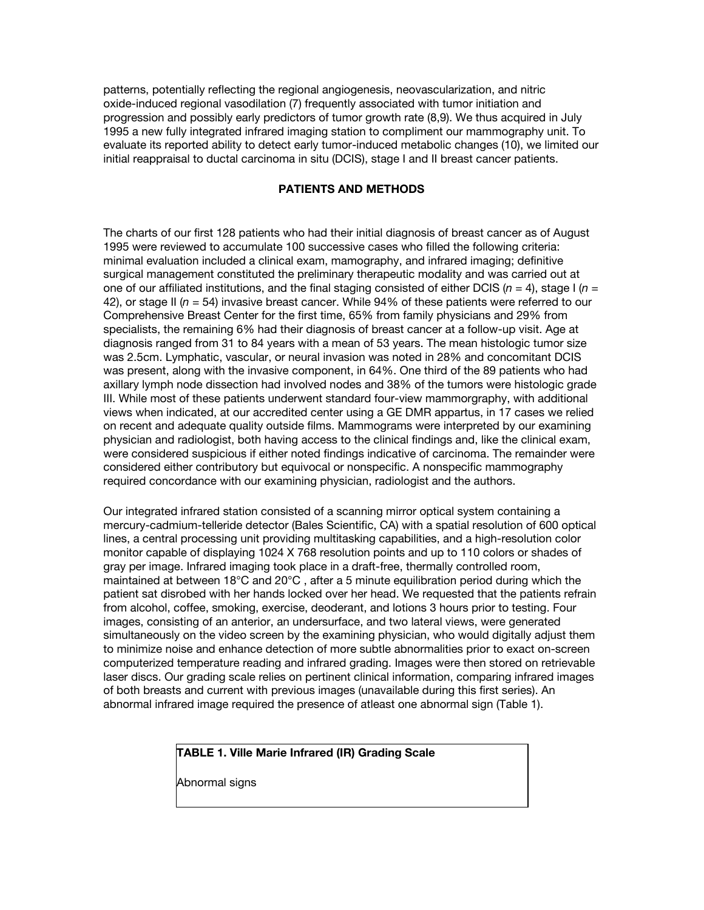patterns, potentially reflecting the regional angiogenesis, neovascularization, and nitric oxide-induced regional vasodilation (7) frequently associated with tumor initiation and progression and possibly early predictors of tumor growth rate (8,9). We thus acquired in July 1995 a new fully integrated infrared imaging station to compliment our mammography unit. To evaluate its reported ability to detect early tumor-induced metabolic changes (10), we limited our initial reappraisal to ductal carcinoma in situ (DCIS), stage I and II breast cancer patients.

# **PATIENTS AND METHODS**

The charts of our first 128 patients who had their initial diagnosis of breast cancer as of August 1995 were reviewed to accumulate 100 successive cases who filled the following criteria: minimal evaluation included a clinical exam, mamography, and infrared imaging; definitive surgical management constituted the preliminary therapeutic modality and was carried out at one of our affiliated institutions, and the final staging consisted of either DCIS ( $n = 4$ ), stage I ( $n = 1$ ) 42), or stage II (*n* = 54) invasive breast cancer. While 94% of these patients were referred to our Comprehensive Breast Center for the first time, 65% from family physicians and 29% from specialists, the remaining 6% had their diagnosis of breast cancer at a follow-up visit. Age at diagnosis ranged from 31 to 84 years with a mean of 53 years. The mean histologic tumor size was 2.5cm. Lymphatic, vascular, or neural invasion was noted in 28% and concomitant DCIS was present, along with the invasive component, in 64%. One third of the 89 patients who had axillary lymph node dissection had involved nodes and 38% of the tumors were histologic grade III. While most of these patients underwent standard four-view mammorgraphy, with additional views when indicated, at our accredited center using a GE DMR appartus, in 17 cases we relied on recent and adequate quality outside films. Mammograms were interpreted by our examining physician and radiologist, both having access to the clinical findings and, like the clinical exam, were considered suspicious if either noted findings indicative of carcinoma. The remainder were considered either contributory but equivocal or nonspecific. A nonspecific mammography required concordance with our examining physician, radiologist and the authors.

Our integrated infrared station consisted of a scanning mirror optical system containing a mercury-cadmium-telleride detector (Bales Scientific, CA) with a spatial resolution of 600 optical lines, a central processing unit providing multitasking capabilities, and a high-resolution color monitor capable of displaying 1024 X 768 resolution points and up to 110 colors or shades of gray per image. Infrared imaging took place in a draft-free, thermally controlled room, maintained at between 18°C and 20°C , after a 5 minute equilibration period during which the patient sat disrobed with her hands locked over her head. We requested that the patients refrain from alcohol, coffee, smoking, exercise, deoderant, and lotions 3 hours prior to testing. Four images, consisting of an anterior, an undersurface, and two lateral views, were generated simultaneously on the video screen by the examining physician, who would digitally adjust them to minimize noise and enhance detection of more subtle abnormalities prior to exact on-screen computerized temperature reading and infrared grading. Images were then stored on retrievable laser discs. Our grading scale relies on pertinent clinical information, comparing infrared images of both breasts and current with previous images (unavailable during this first series). An abnormal infrared image required the presence of atleast one abnormal sign (Table 1).

### **TABLE 1. Ville Marie Infrared (IR) Grading Scale**

Abnormal signs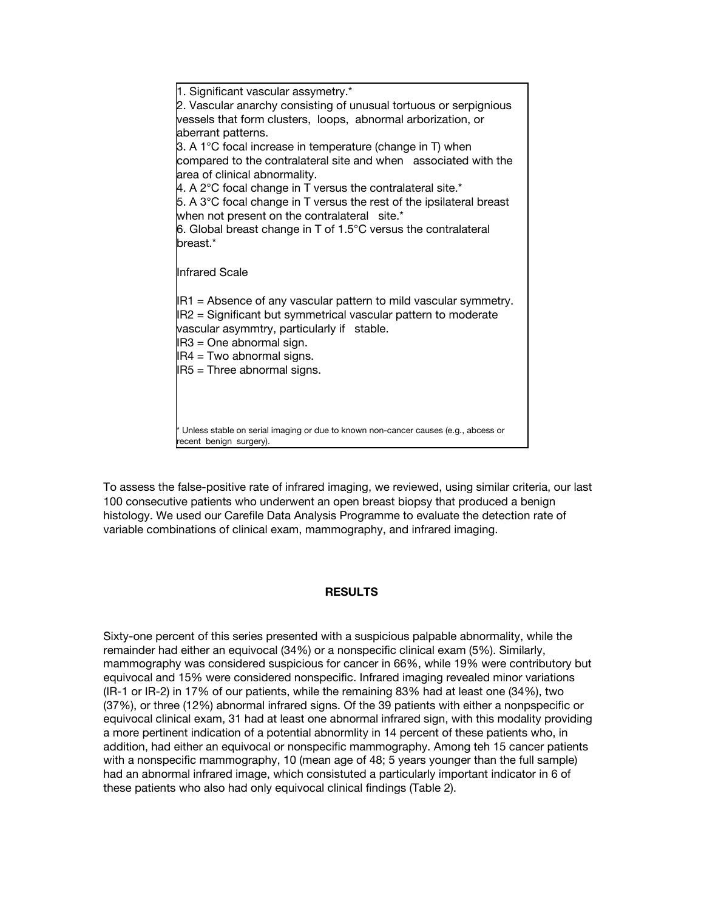| 1. Significant vascular assymetry.*                                                  |
|--------------------------------------------------------------------------------------|
| 2. Vascular anarchy consisting of unusual tortuous or serpignious                    |
| vessels that form clusters, loops, abnormal arborization, or                         |
| aberrant patterns.                                                                   |
| 3. A 1 $\degree$ C focal increase in temperature (change in T) when                  |
| compared to the contralateral site and when associated with the                      |
| area of clinical abnormality.                                                        |
| 4. A 2 $\degree$ C focal change in T versus the contralateral site. $*$              |
| 5. A $3^{\circ}$ C focal change in T versus the rest of the ipsilateral breast       |
| when not present on the contralateral site.*                                         |
| 6. Global breast change in T of 1.5°C versus the contralateral                       |
| breast.*                                                                             |
|                                                                                      |
| <b>Infrared Scale</b>                                                                |
|                                                                                      |
| $ R1 $ = Absence of any vascular pattern to mild vascular symmetry.                  |
| IR2 = Significant but symmetrical vascular pattern to moderate                       |
| vascular asymmtry, particularly if stable.                                           |
| IR3 = One abnormal sign.                                                             |
| $IR4 = Two abnormal signs.$                                                          |
| $ IB5 $ = Three abnormal signs.                                                      |
|                                                                                      |
|                                                                                      |
|                                                                                      |
| * Unless stable on serial imaging or due to known non-cancer causes (e.g., abcess or |
| recent benign surgery).                                                              |
|                                                                                      |

To assess the false-positive rate of infrared imaging, we reviewed, using similar criteria, our last 100 consecutive patients who underwent an open breast biopsy that produced a benign histology. We used our Carefile Data Analysis Programme to evaluate the detection rate of variable combinations of clinical exam, mammography, and infrared imaging.

#### **RESULTS**

Sixty-one percent of this series presented with a suspicious palpable abnormality, while the remainder had either an equivocal (34%) or a nonspecific clinical exam (5%). Similarly, mammography was considered suspicious for cancer in 66%, while 19% were contributory but equivocal and 15% were considered nonspecific. Infrared imaging revealed minor variations (IR-1 or IR-2) in 17% of our patients, while the remaining 83% had at least one (34%), two (37%), or three (12%) abnormal infrared signs. Of the 39 patients with either a nonpspecific or equivocal clinical exam, 31 had at least one abnormal infrared sign, with this modality providing a more pertinent indication of a potential abnormlity in 14 percent of these patients who, in addition, had either an equivocal or nonspecific mammography. Among teh 15 cancer patients with a nonspecific mammography, 10 (mean age of 48; 5 years younger than the full sample) had an abnormal infrared image, which consistuted a particularly important indicator in 6 of these patients who also had only equivocal clinical findings (Table 2).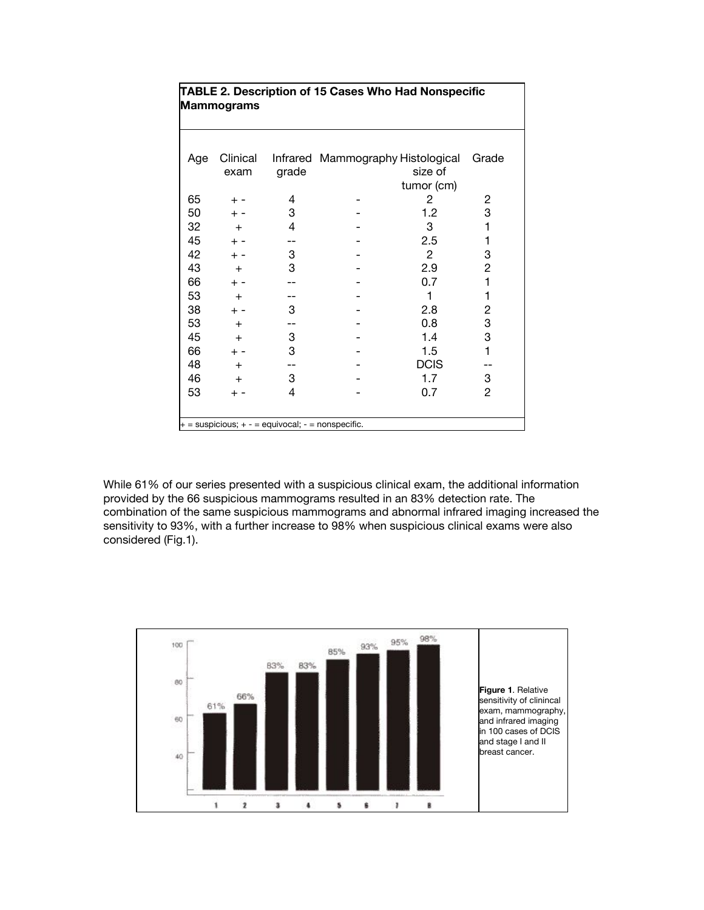| <b>TABLE 2. Description of 15 Cases Who Had Nonspecific</b><br><b>Mammograms</b> |                  |       |                                   |                              |                |  |
|----------------------------------------------------------------------------------|------------------|-------|-----------------------------------|------------------------------|----------------|--|
| Age                                                                              | Clinical<br>exam | grade | Infrared Mammography Histological | size of                      | Grade          |  |
| 65                                                                               | $+ -$            | 4     |                                   | tumor (cm)<br>$\overline{c}$ | 2              |  |
| 50                                                                               | $+ -$            | 3     |                                   | 1.2                          | 3              |  |
| 32                                                                               | $+$              | 4     |                                   | 3                            | 1              |  |
| 45                                                                               | $+ -$            |       |                                   | 2.5                          | 1              |  |
| 42                                                                               | $+ -$            | 3     |                                   | $\overline{2}$               | 3              |  |
| 43                                                                               | $+$              | 3     |                                   | 2.9                          | 2              |  |
| 66                                                                               | $+ -$            |       |                                   | 0.7                          | 1              |  |
| 53                                                                               | $+$              |       |                                   | 1                            | 1              |  |
| 38                                                                               | $+ -$            | 3     |                                   | 2.8                          | 2              |  |
| 53                                                                               | $+$              |       |                                   | 0.8                          | 3              |  |
| 45                                                                               | $+$              | 3     |                                   | 1.4                          | 3              |  |
| 66                                                                               | $+ -$            | 3     |                                   | 1.5                          | 1              |  |
| 48                                                                               | $+$              |       |                                   | <b>DCIS</b>                  |                |  |
| 46                                                                               | $+$              | 3     |                                   | 1.7                          | 3              |  |
| 53                                                                               | $+ -$            | 4     |                                   | 0.7                          | $\overline{c}$ |  |
|                                                                                  |                  |       |                                   |                              |                |  |
| $+$ = suspicious; $+$ - = equivocal; - = nonspecific.                            |                  |       |                                   |                              |                |  |

While 61% of our series presented with a suspicious clinical exam, the additional information provided by the 66 suspicious mammograms resulted in an 83% detection rate. The combination of the same suspicious mammograms and abnormal infrared imaging increased the sensitivity to 93%, with a further increase to 98% when suspicious clinical exams were also considered (Fig.1).

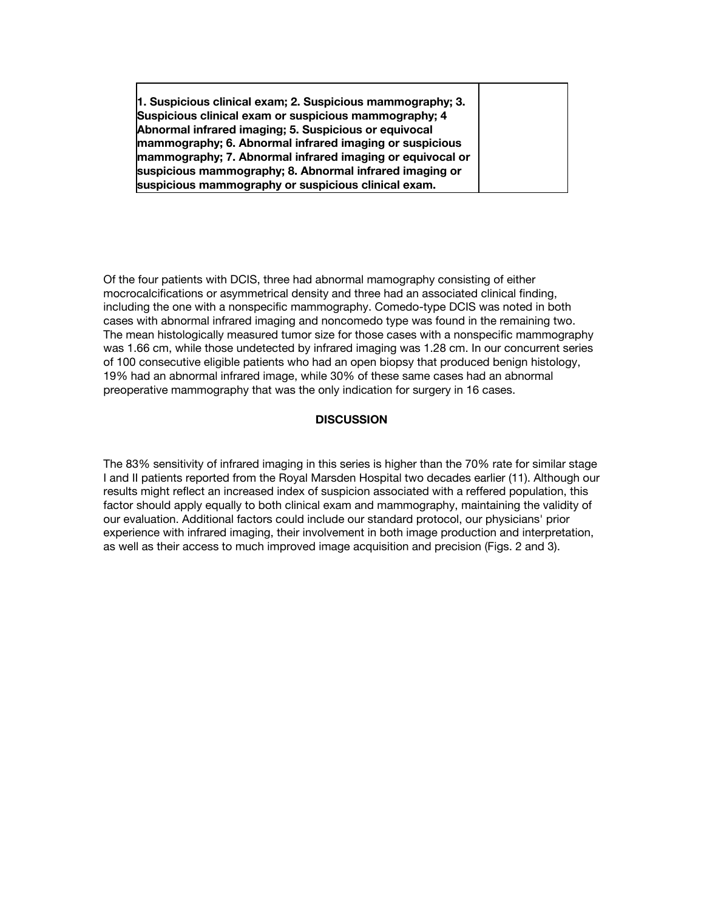**1. Suspicious clinical exam; 2. Suspicious mammography; 3. Suspicious clinical exam or suspicious mammography; 4 Abnormal infrared imaging; 5. Suspicious or equivocal mammography; 6. Abnormal infrared imaging or suspicious mammography; 7. Abnormal infrared imaging or equivocal or suspicious mammography; 8. Abnormal infrared imaging or suspicious mammography or suspicious clinical exam.**

Of the four patients with DCIS, three had abnormal mamography consisting of either mocrocalcifications or asymmetrical density and three had an associated clinical finding, including the one with a nonspecific mammography. Comedo-type DCIS was noted in both cases with abnormal infrared imaging and noncomedo type was found in the remaining two. The mean histologically measured tumor size for those cases with a nonspecific mammography was 1.66 cm, while those undetected by infrared imaging was 1.28 cm. In our concurrent series of 100 consecutive eligible patients who had an open biopsy that produced benign histology, 19% had an abnormal infrared image, while 30% of these same cases had an abnormal preoperative mammography that was the only indication for surgery in 16 cases.

#### **DISCUSSION**

The 83% sensitivity of infrared imaging in this series is higher than the 70% rate for similar stage I and II patients reported from the Royal Marsden Hospital two decades earlier (11). Although our results might reflect an increased index of suspicion associated with a reffered population, this factor should apply equally to both clinical exam and mammography, maintaining the validity of our evaluation. Additional factors could include our standard protocol, our physicians' prior experience with infrared imaging, their involvement in both image production and interpretation, as well as their access to much improved image acquisition and precision (Figs. 2 and 3).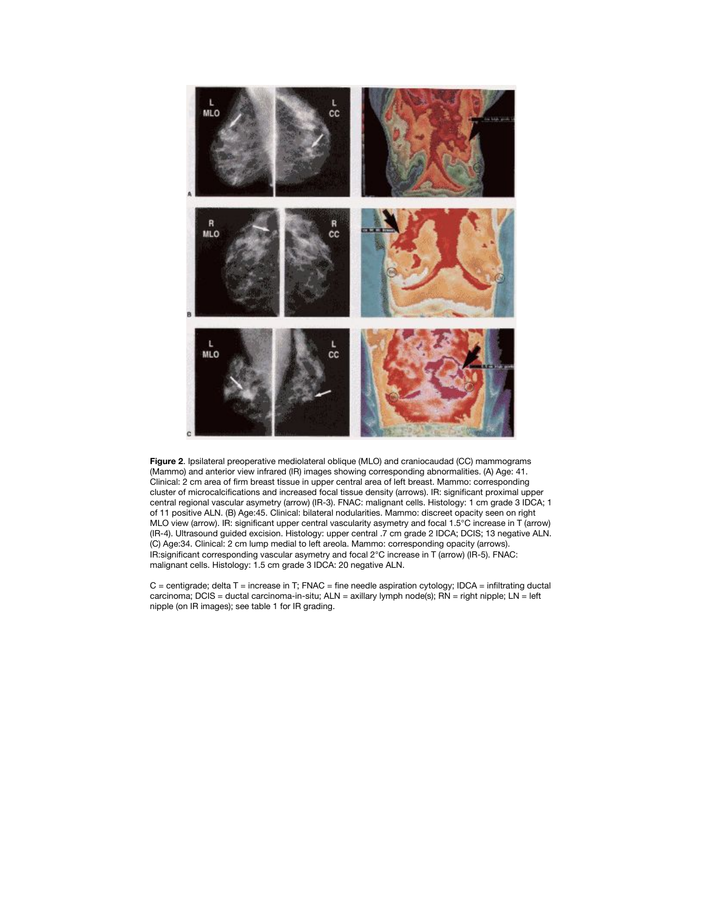



 $C =$  centigrade; delta  $T =$  increase in T; FNAC = fine needle aspiration cytology; IDCA = infiltrating ductal carcinoma; DCIS = ductal carcinoma-in-situ; ALN = axillary lymph node(s); RN = right nipple; LN = left nipple (on IR images); see table 1 for IR grading.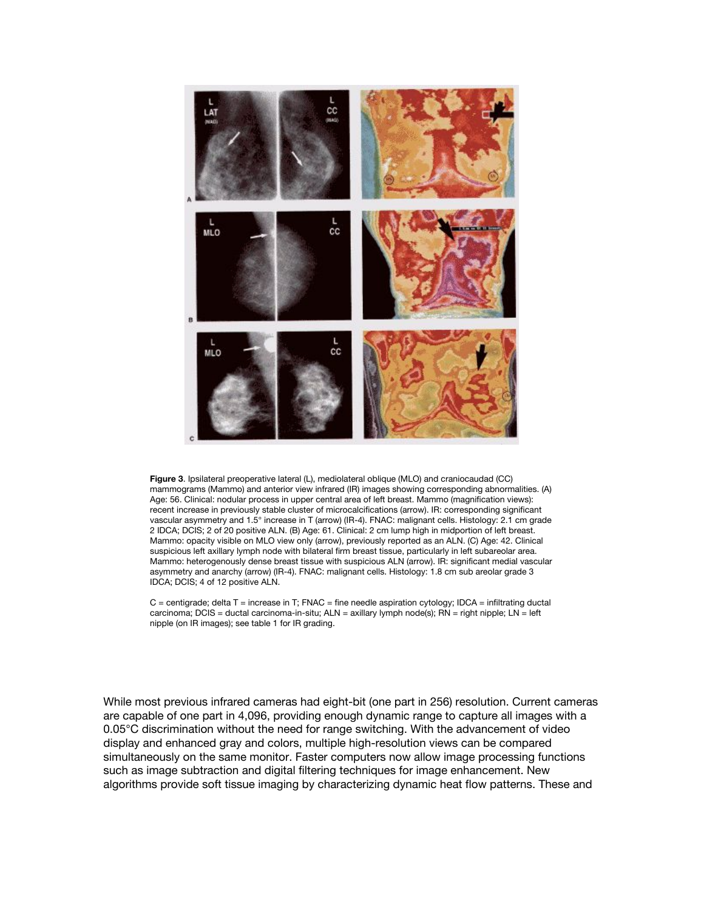

**Figure 3**. Ipsilateral preoperative lateral (L), mediolateral oblique (MLO) and craniocaudad (CC) mammograms (Mammo) and anterior view infrared (IR) images showing corresponding abnormalities. (A) Age: 56. Clinical: nodular process in upper central area of left breast. Mammo (magnification views): recent increase in previously stable cluster of microcalcifications (arrow). IR: corresponding significant vascular asymmetry and 1.5° increase in T (arrow) (IR-4). FNAC: malignant cells. Histology: 2.1 cm grade 2 IDCA; DCIS; 2 of 20 positive ALN. (B) Age: 61. Clinical: 2 cm lump high in midportion of left breast. Mammo: opacity visible on MLO view only (arrow), previously reported as an ALN. (C) Age: 42. Clinical suspicious left axillary lymph node with bilateral firm breast tissue, particularly in left subareolar area. Mammo: heterogenously dense breast tissue with suspicious ALN (arrow). IR: significant medial vascular asymmetry and anarchy (arrow) (IR-4). FNAC: malignant cells. Histology: 1.8 cm sub areolar grade 3 IDCA; DCIS; 4 of 12 positive ALN.

 $C$  = centigrade; delta T = increase in T; FNAC = fine needle aspiration cytology; IDCA = infiltrating ductal carcinoma; DCIS = ductal carcinoma-in-situ; ALN = axillary lymph node(s); RN = right nipple; LN = left nipple (on IR images); see table 1 for IR grading.

While most previous infrared cameras had eight-bit (one part in 256) resolution. Current cameras are capable of one part in 4,096, providing enough dynamic range to capture all images with a 0.05°C discrimination without the need for range switching. With the advancement of video display and enhanced gray and colors, multiple high-resolution views can be compared simultaneously on the same monitor. Faster computers now allow image processing functions such as image subtraction and digital filtering techniques for image enhancement. New algorithms provide soft tissue imaging by characterizing dynamic heat flow patterns. These and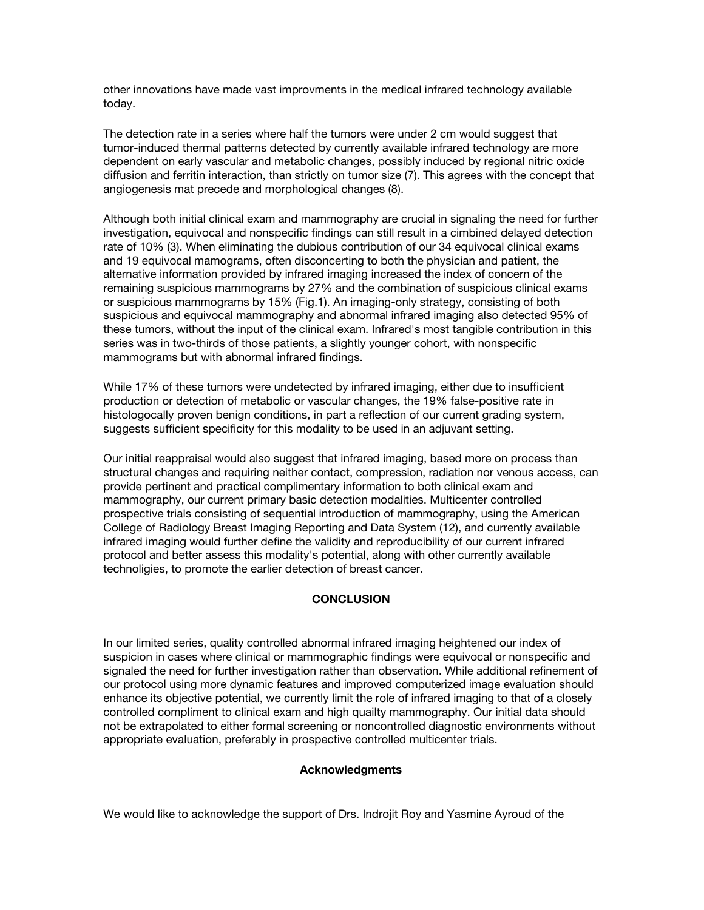other innovations have made vast improvments in the medical infrared technology available today.

The detection rate in a series where half the tumors were under 2 cm would suggest that tumor-induced thermal patterns detected by currently available infrared technology are more dependent on early vascular and metabolic changes, possibly induced by regional nitric oxide diffusion and ferritin interaction, than strictly on tumor size (7). This agrees with the concept that angiogenesis mat precede and morphological changes (8).

Although both initial clinical exam and mammography are crucial in signaling the need for further investigation, equivocal and nonspecific findings can still result in a cimbined delayed detection rate of 10% (3). When eliminating the dubious contribution of our 34 equivocal clinical exams and 19 equivocal mamograms, often disconcerting to both the physician and patient, the alternative information provided by infrared imaging increased the index of concern of the remaining suspicious mammograms by 27% and the combination of suspicious clinical exams or suspicious mammograms by 15% (Fig.1). An imaging-only strategy, consisting of both suspicious and equivocal mammography and abnormal infrared imaging also detected 95% of these tumors, without the input of the clinical exam. Infrared's most tangible contribution in this series was in two-thirds of those patients, a slightly younger cohort, with nonspecific mammograms but with abnormal infrared findings.

While 17% of these tumors were undetected by infrared imaging, either due to insufficient production or detection of metabolic or vascular changes, the 19% false-positive rate in histologocally proven benign conditions, in part a reflection of our current grading system, suggests sufficient specificity for this modality to be used in an adjuvant setting.

Our initial reappraisal would also suggest that infrared imaging, based more on process than structural changes and requiring neither contact, compression, radiation nor venous access, can provide pertinent and practical complimentary information to both clinical exam and mammography, our current primary basic detection modalities. Multicenter controlled prospective trials consisting of sequential introduction of mammography, using the American College of Radiology Breast Imaging Reporting and Data System (12), and currently available infrared imaging would further define the validity and reproducibility of our current infrared protocol and better assess this modality's potential, along with other currently available technoligies, to promote the earlier detection of breast cancer.

#### **CONCLUSION**

In our limited series, quality controlled abnormal infrared imaging heightened our index of suspicion in cases where clinical or mammographic findings were equivocal or nonspecific and signaled the need for further investigation rather than observation. While additional refinement of our protocol using more dynamic features and improved computerized image evaluation should enhance its objective potential, we currently limit the role of infrared imaging to that of a closely controlled compliment to clinical exam and high quailty mammography. Our initial data should not be extrapolated to either formal screening or noncontrolled diagnostic environments without appropriate evaluation, preferably in prospective controlled multicenter trials.

#### **Acknowledgments**

We would like to acknowledge the support of Drs. Indrojit Roy and Yasmine Ayroud of the